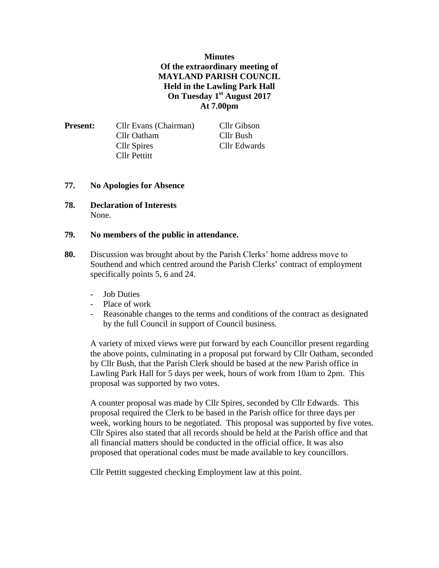## **Minutes Of the extraordinary meeting of MAYLAND PARISH COUNCIL Held in the Lawling Park Hall On Tuesday 1st August 2017 At 7.00pm**

| <b>Present:</b> | Cllr Evans (Chairman) | Cllr Gibson  |
|-----------------|-----------------------|--------------|
|                 | Cllr Oatham           | Cllr Bush    |
|                 | Cllr Spires           | Cllr Edwards |
|                 | Cllr Pettitt          |              |

## **77. No Apologies for Absence**

**78. Declaration of Interests** None.

## **79. No members of the public in attendance.**

- **80.** Discussion was brought about by the Parish Clerks' home address move to Southend and which centred around the Parish Clerks' contract of employment specifically points 5, 6 and 24.
	- Job Duties
	- Place of work
	- Reasonable changes to the terms and conditions of the contract as designated by the full Council in support of Council business.

A variety of mixed views were put forward by each Councillor present regarding the above points, culminating in a proposal put forward by Cllr Oatham, seconded by Cllr Bush, that the Parish Clerk should be based at the new Parish office in Lawling Park Hall for 5 days per week, hours of work from 10am to 2pm. This proposal was supported by two votes.

A counter proposal was made by Cllr Spires, seconded by Cllr Edwards. This proposal required the Clerk to be based in the Parish office for three days per week, working hours to be negotiated. This proposal was supported by five votes. Cllr Spires also stated that all records should be held at the Parish office and that all financial matters should be conducted in the official office. It was also proposed that operational codes must be made available to key councillors.

Cllr Pettitt suggested checking Employment law at this point.